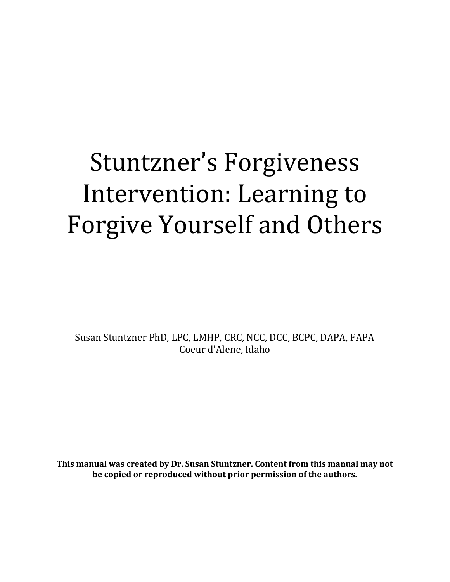## Stuntzner's Forgiveness Intervention: Learning to Forgive Yourself and Others

Susan Stuntzner PhD, LPC, LMHP, CRC, NCC, DCC, BCPC, DAPA, FAPA Coeur d'Alene, Idaho

**This manual was created by Dr. Susan Stuntzner. Content from this manual may not be copied or reproduced without prior permission of the authors.**